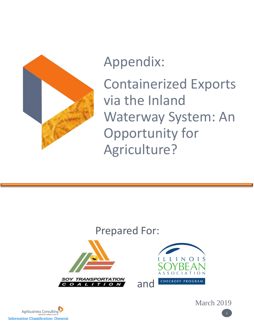

# Appendix:

Containerized Exports via the Inland Waterway System: An Opportunity for Agriculture?

## Prepared For:







March 2019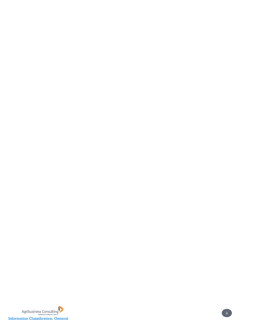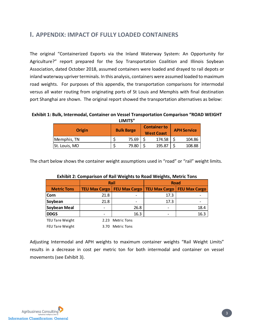### **I. APPENDIX: IMPACT OF FULLY LOADED CONTAINERS**

The original "Containerized Exports via the Inland Waterway System: An Opportunity for Agriculture?" report prepared for the Soy Transportation Coalition and Illinois Soybean Association, dated October 2018, assumed containers were loaded and drayed to rail depots or inland waterway upriver terminals. In this analysis, containers were assumed loaded to maximum road weights. For purposes of this appendix, the transportation comparisons for intermodal versus all water routing from originating ports of St Louis and Memphis with final destination port Shanghai are shown. The original report showed the transportation alternatives as below:

**Exhibit 1: Bulk, Intermodal, Container on Vessel Transportation Comparison "ROAD WEIGHT LIMITS"**

| Origin        | <b>Bulk Barge</b> | <b>Container to</b><br><b>West Coast</b> | <b>APH Service</b> |        |  |  |
|---------------|-------------------|------------------------------------------|--------------------|--------|--|--|
| Memphis, TN   | 75.69             | 174.58                                   |                    | 104.86 |  |  |
| St. Louis, MO | 79.80             | 195.87                                   |                    | 108.88 |  |  |

The chart below shows the container weight assumptions used in "road" or "rail" weight limits.

|                        |      | Rail                                                 | <b>Road</b>     |                      |  |  |  |  |  |  |
|------------------------|------|------------------------------------------------------|-----------------|----------------------|--|--|--|--|--|--|
| <b>Metric Tons</b>     |      | <b>TEU Max Cargo   FEU Max Cargo   TEU Max Cargo</b> |                 | <b>FEU Max Cargo</b> |  |  |  |  |  |  |
| <b>Corn</b>            | 21.8 |                                                      | 17.3            |                      |  |  |  |  |  |  |
| Soybean                | 21.8 |                                                      | 17.3            |                      |  |  |  |  |  |  |
| Soybean Meal           |      | 26.8                                                 | $\qquad \qquad$ | 18.4                 |  |  |  |  |  |  |
| <b>DDGS</b>            |      | 16.3                                                 |                 | 16.3                 |  |  |  |  |  |  |
| TEU Tare Weight        | 2.23 | <b>Metric Tons</b>                                   |                 |                      |  |  |  |  |  |  |
| <b>FEU Tare Weight</b> | 3.70 | <b>Metric Tons</b>                                   |                 |                      |  |  |  |  |  |  |

**Exhibit 2: Comparison of Rail Weights to Road Weights, Metric Tons**

Adjusting Intermodal and APH weights to maximum container weights "Rail Weight Limits" results in a decrease in cost per metric ton for both intermodal and container on vessel movements (see [Exhibit 3\)](#page-3-0).

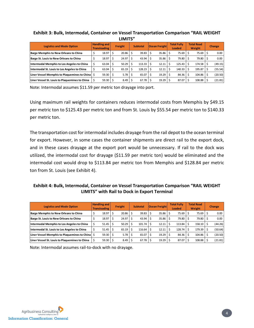| -------                                        |                                            |              |         |       |                 |        |                      |       |                              |        |                                    |        |        |         |
|------------------------------------------------|--------------------------------------------|--------------|---------|-------|-----------------|--------|----------------------|-------|------------------------------|--------|------------------------------------|--------|--------|---------|
| <b>Logistics and Mode Option</b>               | <b>Handling and</b><br><b>Transloading</b> |              | Freight |       | <b>Subtotal</b> |        | <b>Ocean Freight</b> |       | <b>Total Fully</b><br>Loaded |        | <b>Total Road</b><br><b>Weight</b> |        | Change |         |
| Barge Memphis to New Orleans to China          |                                            | 18.97        |         | 20.86 |                 | 39.83  |                      | 35.86 |                              | 75.69  |                                    | 75.69  |        | 0.00    |
| Barge St. Louis to New Orleans to China        |                                            | 18.97        |         | 24.97 |                 | 43.94  |                      | 35.86 |                              | 79.80  |                                    | 79.80  |        | 0.00    |
| Intermodal Memphis to Los Angeles to China     |                                            | 63.04        |         | 50.29 |                 | 113.33 |                      | 12.11 |                              | 125.43 |                                    | 174.58 |        | (49.15) |
| Intermodal St. Louis to Los Angeles to China   |                                            | 63.04        |         | 65.19 |                 | 128.23 |                      | 12.11 |                              | 140.33 |                                    | 195.87 |        | (55.54) |
| Liner Vessel Memphis to Plaquemines to China   |                                            | $59.30$ \ \$ |         | 5.78  |                 | 65.07  |                      | 19.29 |                              | 84.36  |                                    | 104.86 |        | (20.50) |
| Liner Vessel St. Louis to Plaquemines to China |                                            | $59.30$   \$ |         | 8.49  |                 | 67.78  |                      | 19.29 |                              | 87.07  |                                    | 108.88 |        | (21.81) |

#### <span id="page-3-0"></span>**Exhibit 3: Bulk, Intermodal, Container on Vessel Transportation Comparison "RAIL WEIGHT LIMITS"**

Note: Intermodal assumes \$11.59 per metric ton drayage into port.

Using maximum rail weights for containers reduces intermodal costs from Memphis by \$49.15 per metric ton to \$125.43 per metric ton and from St. Louis by \$55.54 per metric ton to \$140.33 per metric ton.

The transportation cost for intermodal includes drayage from the rail depot to the ocean terminal for export. However, in some cases the container shipments are direct rail to the export dock, and in these cases drayage at the export port would be unnecessary. If rail to the dock was utilized, the intermodal cost for drayage (\$11.59 per metric ton) would be eliminated and the intermodal cost would drop to \$113.84 per metric ton from Memphis and \$128.84 per metric ton from St. Louis (see [Exhibit 4\)](#page-3-1).

#### <span id="page-3-1"></span>**Exhibit 4: Bulk, Intermodal, Container on Vessel Transportation Comparison "RAIL WEIGHT LIMITS" with Rail to Dock in Export Terminal**

| <b>Logistics and Mode Option</b>               | <b>Handling and</b><br><b>Transloading</b> |              | Freight |       | <b>Subtotal</b> |            | <b>Ocean Freight</b> |           | <b>Total Fully</b><br>Loaded |        | <b>Total Road</b><br>Weight |        | Change |         |
|------------------------------------------------|--------------------------------------------|--------------|---------|-------|-----------------|------------|----------------------|-----------|------------------------------|--------|-----------------------------|--------|--------|---------|
| <b>Barge Memphis to New Orleans to China</b>   |                                            | 18.97        |         | 20.86 |                 | 39.83      |                      | 35.86     |                              | 75.69  |                             | 75.69  |        | 0.00    |
| Barge St. Louis to New Orleans to China        |                                            | 18.97        |         | 24.97 |                 | 43.94      |                      | $35.86$ S |                              | 79.80  |                             | 79.80  |        | 0.00    |
| Intermodal Memphis to Los Angeles to China     |                                            | 51.45        |         | 50.29 |                 | $101.74$ S |                      | 12.11     |                              | 113.84 |                             | 158.10 |        | (44.26) |
| Intermodal St. Louis to Los Angeles to China   |                                            | 51.45        |         | 65.19 |                 | 116.64     |                      | 12.11     |                              | 128.74 |                             | 179.39 |        | (50.64) |
| Liner Vessel Memphis to Plaquemines to China   |                                            | $59.30$ S    |         | 5.78  |                 | 65.07      |                      | 19.29     |                              | 84.36  |                             | 104.86 |        | (20.50) |
| Liner Vessel St. Louis to Plaquemines to China |                                            | $59.30$   \$ |         | 8.49  |                 | $67.78$ S  |                      | $19.29$ S |                              | 87.07  |                             | 108.88 |        | (21.81) |

Note: Intermodal assumes rail-to-dock with no drayage.

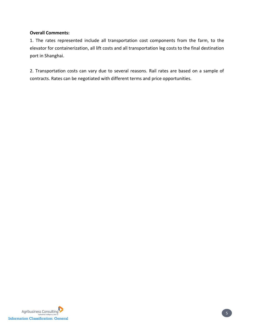#### **Overall Comments:**

1. The rates represented include all transportation cost components from the farm, to the elevator for containerization, all lift costs and all transportation leg costs to the final destination port in Shanghai.

2. Transportation costs can vary due to several reasons. Rail rates are based on a sample of contracts. Rates can be negotiated with different terms and price opportunities.